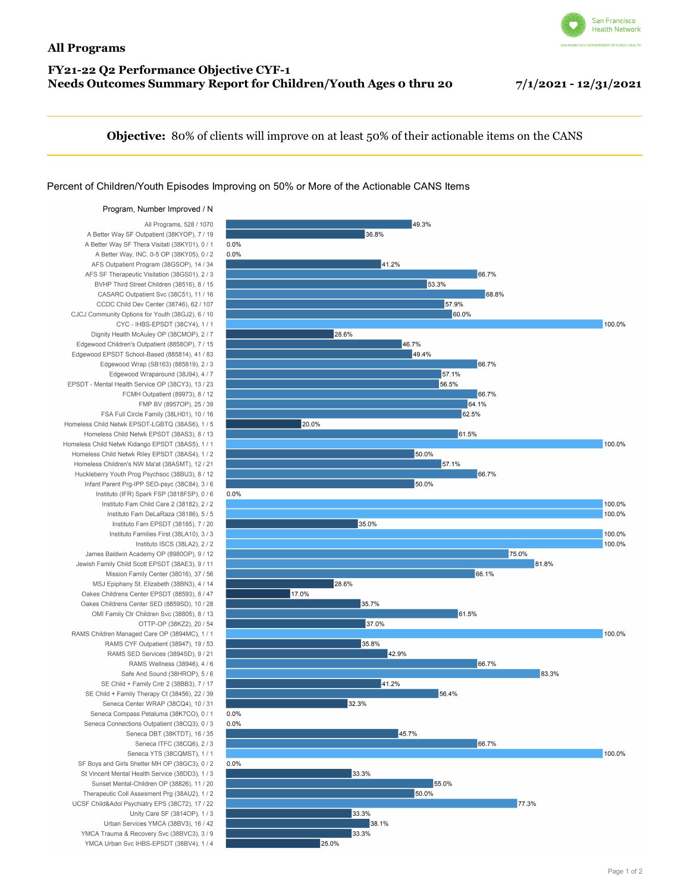## **FY21-22 Q2 Performance Objective CYF-1 Needs Outcomes Summary Report for Children/Youth Ages 0 thru 20 7/1/2021 - 12/31/2021**



**Objective:** 80% of clients will improve on at least 50% of their actionable items on the CANS

## Percent of Children/Youth Episodes Improving on 50% or More of the Actionable CANS Items

Program, Number Improved / N All Programs, 528 / 1070 A Better Way SF Outpatient (38KYOP), 7 / 19 A Better Way SF Thera Visitati (38KY01), 0 / 1 A Better Way, INC. 0-5 OP (38KY05), 0 / 2 AFS Outpatient Program (38GSOP), 14 / 34 AFS SF Therapeutic Visitation (38GS01), 2 / 3 BVHP Third Street Children (38516), 8 / 15 CASARC Outpatient Svc (38C51), 11 / 16 CCDC Child Dev Center (38746), 62 / 107 CJCJ Community Options for Youth (38GJ2), 6 / 10 CYC - IHBS-EPSDT (38CY4), 1 / 1 Dignity Health McAuley OP (38CMOP), 2 / 7 Edgewood Children's Outpatient (8858OP), 7 / 15 Edgewood EPSDT School-Based (885814), 41 / 83 Edgewood Wrap (SB163) (885819), 2 / 3 Edgewood Wraparound (38J94), 4 / 7 EPSDT - Mental Health Service OP (38CY3), 13 / 23 FCMH Outpatient (89973), 8 / 12 FMP BV (8957OP), 25 / 39 FSA Full Circle Family (38LH01), 10 / 16 Homeless Child Netwk EPSDT-LGBTQ (38AS6), 1 / 5 Homeless Child Netwk EPSDT (38AS3), 8 / 13 Homeless Child Netwk Kidango FPSDT (38AS5), 1 / 1 Homeless Child Netwk Riley EPSDT (38AS4), 1 / 2 Homeless Children's NW Ma'at (38ASMT), 12 / 21 Huckleberry Youth Prog Psychsoc (38BU3), 8 / 12 Infant Parent Prg-IPP SED-psyc (38C84), 3 / 6 Instituto (IFR) Spark FSP (3818FSP), 0 / 6 Instituto Fam Child Care 2 (38182), 2 / 2 Instituto Fam DeLaRaza (38186), 5 / 5 Instituto Fam EPSDT (38185), 7 / 20 Instituto Families First (38LA10), 3 / 3 Instituto ISCS (38LA2), 2 / 2 James Baldwin Academy OP (8980OP), 9 / 12 Jewish Family Child Scott EPSDT (38AE3), 9 / 11 Mission Family Center (38016), 37 / 56 MSJ Epiphany St. Elizabeth (38BN3), 4 / 14 Oakes Childrens Center EPSDT (88593), 8 / 47 Oakes Childrens Center SED (8859SD), 10 / 28 OMI Family Ctr Children Syc (38805), 8 / 13 OTTP-OP (38KZ2), 20 / 54 RAMS Children Managed Care OP (3894MC), 1 / 1 RAMS CYF Outpatient (38947), 19 / 53 RAMS SED Services (3894SD), 9 / 21 RAMS Wellness (38946), 4 / 6 Safe And Sound (38HROP), 5 / 6 SE Child + Family Cntr 2 (38BB3), 7 / 17 SE Child + Family Therapy Ct (38456), 22 / 39 Seneca Center WRAP (38CQ4), 10 / 31 Seneca Compass Petaluma (38K7CO), 0 / 1 Seneca Connections Outpatient (38CO3), 0 / 3 Seneca DBT (38KTDT), 16 / 35 Seneca ITFC (38CQ6), 2 / 3 Seneca YTS (38COMST) 1/1 SF Boys and Girls Shelter MH OP (38GC3), 0 / 2 St Vincent Mental Health Service (38DD3), 1 / 3 Sunset Mental-Children OP (38826), 11 / 20 Therapeutic Coll Assesment Prg (38AU2), 1 / 2 UCSF Child&Adol Psychiatry EPS (38C72), 17 / 22 Unity Care SF (3814OP), 1 / 3 Urban Services YMCA (38BV3), 16 / 42 YMCA Trauma & Recovery Svc (38BVC3), 3 / 9 YMCA Urban Svc IHBS-EPSDT (38BV4), 1 / 4